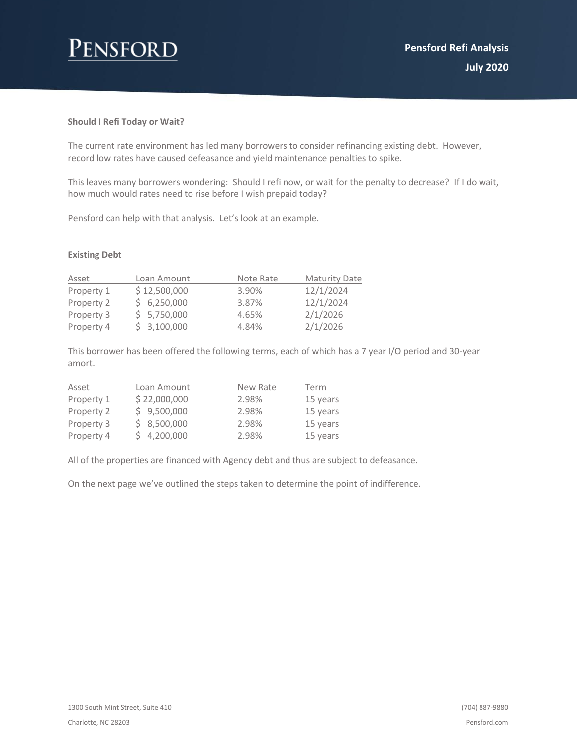# Pensford

## **Should I Refi Today or Wait?**

The current rate environment has led many borrowers to consider refinancing existing debt. However, record low rates have caused defeasance and yield maintenance penalties to spike.

This leaves many borrowers wondering: Should I refi now, or wait for the penalty to decrease? If I do wait, how much would rates need to rise before I wish prepaid today?

Pensford can help with that analysis. Let's look at an example.

## **Existing Debt**

| Asset      | Loan Amount  | Note Rate | <b>Maturity Date</b> |
|------------|--------------|-----------|----------------------|
| Property 1 | \$12,500,000 | 3.90%     | 12/1/2024            |
| Property 2 | \$6,250,000  | 3.87%     | 12/1/2024            |
| Property 3 | \$5,750,000  | 4.65%     | 2/1/2026             |
| Property 4 | \$3,100,000  | 4.84%     | 2/1/2026             |

This borrower has been offered the following terms, each of which has a 7 year I/O period and 30-year amort.

| Asset      | Loan Amount  | New Rate | Term     |
|------------|--------------|----------|----------|
| Property 1 | \$22,000,000 | 2.98%    | 15 years |
| Property 2 | \$9,500,000  | 2.98%    | 15 years |
| Property 3 | \$8,500,000  | 2.98%    | 15 years |
| Property 4 | \$4,200,000  | 2.98%    | 15 years |

All of the properties are financed with Agency debt and thus are subject to defeasance.

On the next page we've outlined the steps taken to determine the point of indifference.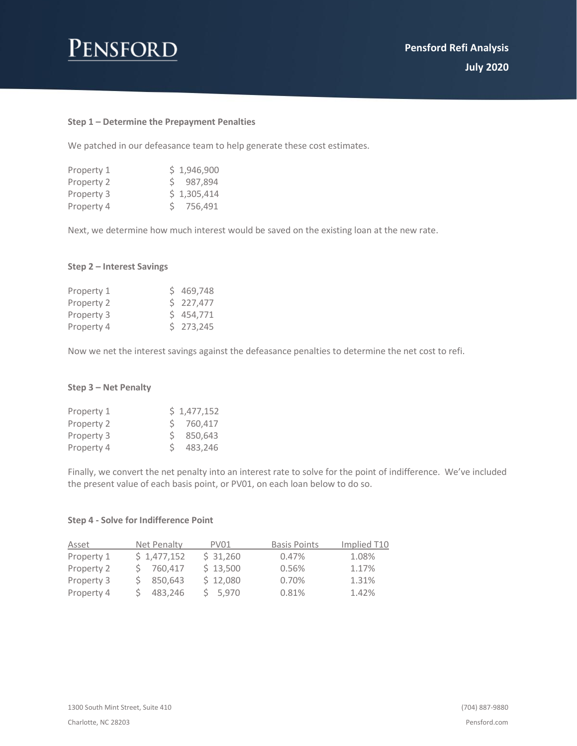# Pensford

#### **Step 1 – Determine the Prepayment Penalties**

We patched in our defeasance team to help generate these cost estimates.

| Property 1 | \$1,946,900 |
|------------|-------------|
| Property 2 | \$987,894   |
| Property 3 | \$1,305,414 |
| Property 4 | \$756,491   |

Next, we determine how much interest would be saved on the existing loan at the new rate.

## **Step 2 – Interest Savings**

| Property 1 | \$469.748 |
|------------|-----------|
| Property 2 | \$227,477 |
| Property 3 | 5454.771  |
| Property 4 | \$273,245 |

Now we net the interest savings against the defeasance penalties to determine the net cost to refi.

#### **Step 3 – Net Penalty**

| Property 1 | \$1,477,152 |
|------------|-------------|
| Property 2 | S 760.417   |
| Property 3 | 850.643     |
| Property 4 | 483,246     |

Finally, we convert the net penalty into an interest rate to solve for the point of indifference. We've included the present value of each basis point, or PV01, on each loan below to do so.

#### **Step 4 - Solve for Indifference Point**

| Asset      | Net Penalty | PV01     | <b>Basis Points</b> | Implied T10 |
|------------|-------------|----------|---------------------|-------------|
| Property 1 | \$1,477,152 | \$31,260 | 0.47%               | 1.08%       |
| Property 2 | 760,417     | \$13,500 | 0.56%               | 1.17%       |
| Property 3 | 850,643     | \$12,080 | 0.70%               | 1.31%       |
| Property 4 | 483,246     | 5.970    | 0.81%               | 1.42%       |